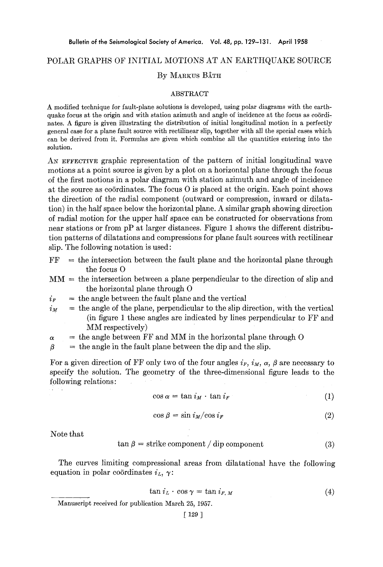## POLAR GRAPHS OF INITIAL MOTIONS AT AN EARTHQUAKE SOURCE

## BY MARKUS BÅTH

## ABSTRACT

A modified technique for fault-plane solutions is developed, using polar diagrams with the earthquake focus at the origin and with station azimuth and angle of incidence at the focus as coördihates. A figure is given illustrating the distribution of initial longitudinal motion in a perfectly general case for a plane fault source with rectilinear slip, together with all the special cases which can be derived from it. Formulas are given which combine all the quantities entering into the solution.

AN EFFECTIVE graphic representation of the pattern of initial longitudinal wave motions at a point source is given by a plot on a horizontal plane through the focus of the first motions in a polar diagram with station azimuth and angle of incidence at the source as coördinates. The focus  $O$  is placed at the origin. Each point shows the direction of the radial component (outward or compression, inward or dilatation) in the half space below the horizontal plane. A similar graph showing direction of radial motion for the upper half space can be constructed for observations from near stations or from pP at larger distances. Figure 1 shows the different distribution patterns of dilatations and compressions for plane fault sources with rectilinear slip. The following notation is used:

- $FF$  = the intersection between the fault plane and the horizontal plane through the focus O
- $MM =$  the intersection between a plane perpendicular to the direction of slip and the horizontal plane through 0
- $i_F$  = the angle between the fault plane and the vertical
- $i_M$  = the angle of the plane, perpendicular to the slip direction, with the vertical (in figure 1 these angles are indicated by lines perpendicular to FF and MM respectively)
- $\alpha$  = the angle between FF and MM in the horizontal plane through O

 $\beta$  = the angle in the fault plane between the dip and the slip.

For a given direction of FF only two of the four angles  $i_F$ ,  $i_M$ ,  $\alpha$ ,  $\beta$  are necessary to specify the solution. The geometry of the three-dimensional figure leads to the following relations:

$$
\cos \alpha = \tan i_M \cdot \tan i_F \tag{1}
$$

$$
\cos \beta = \sin i_M / \cos i_F \tag{2}
$$

Note that

$$
\tan \beta = \text{strike component} / \text{dip component} \tag{3}
$$

The curves limiting compressional areas from dilatational have the following equation in polar coördinates  $i_L$ ,  $\gamma$ :

$$
\tan i_L \cdot \cos \gamma = \tan i_{F,M} \tag{4}
$$

Manuscript received for publication March 25, 1957.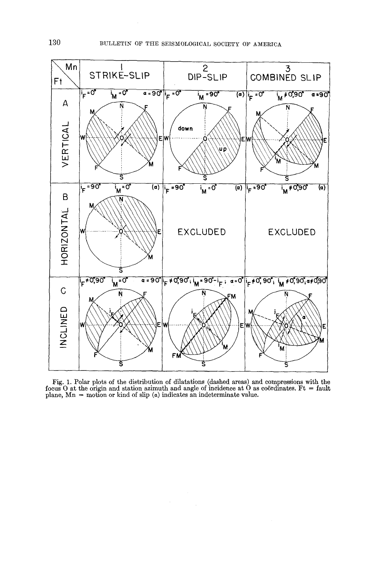

Fig. 1. Polar plots of the distribution of dilatations (dashed areas) and compressions with the focus O at the origin and station azimuth and angle of incidence at O as coördinates. Ft  $=$  fault plane,  $Mn =$  motion or kind of slip  $(a)$  indicates an indeterminate value.